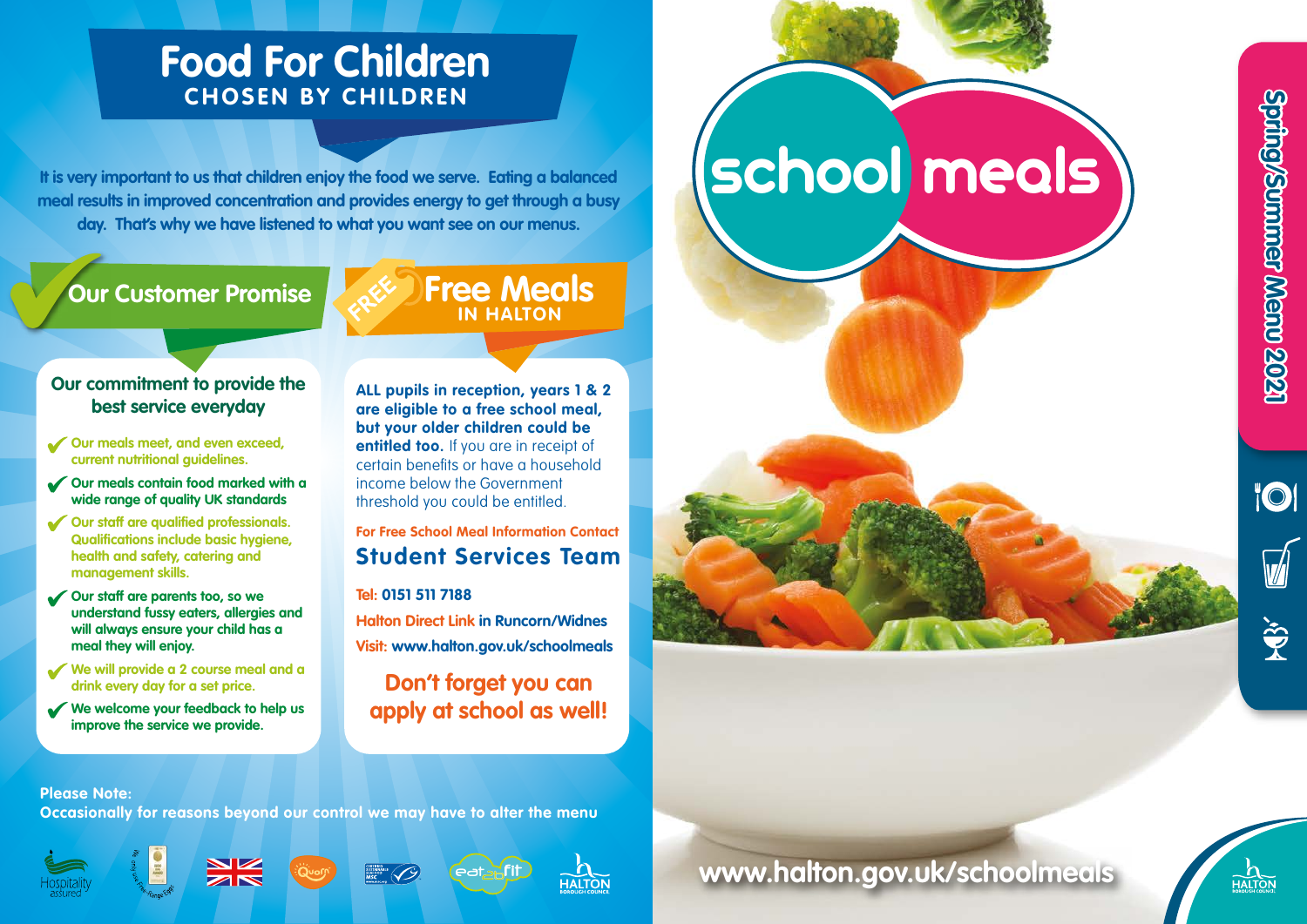# **Food For Children CHOSEN BY CHILDREN**

**It is very important to us that children enjoy the food we serve. Eating a balanced meal results in improved concentration and provides energy to get through a busy day. That's why we have listened to what you want see on our menus.** 

# **Our Customer Promise**

# **Free Meals IN HALTON**

### **Our commitment to provide the best service everyday**

- **Our meals meet, and even exceed, current nutritional guidelines.**
- **Our meals contain food marked with a wide range of quality UK standards**
- **Our staff are qualified professionals. Qualifications include basic hygiene, health and safety, catering and management skills.**
- **Our staff are parents too, so we understand fussy eaters, allergies and will always ensure your child has a meal they will enjoy.**
- **We will provide a 2 course meal and a drink every day for a set price.**
- **We welcome your feedback to help us improve the service we provide.**

**ALL pupils in reception, years 1 & 2 are eligible to a free school meal, but your older children could be entitled too.** If you are in receipt of certain benefits or have a household income below the Government threshold you could be entitled.

## **For Free School Meal Information Contact Student Services Team**

#### **Tel: 0151 511 7188**

**Halton Direct Link in Runcorn/Widnes Visit: www.halton.gov.uk/schoolmeals**

# **Don't forget you can apply at school as well!**





#### **Please Note:**

**Occasionally for reasons beyond our control we may have to alter the menu**













**www.halton.gov.uk/schoolmeals**